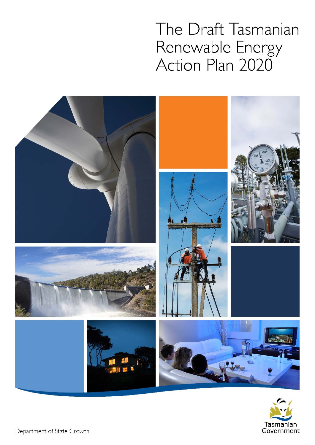The Draft Tasmanian Renewable Energy Action Plan 2020



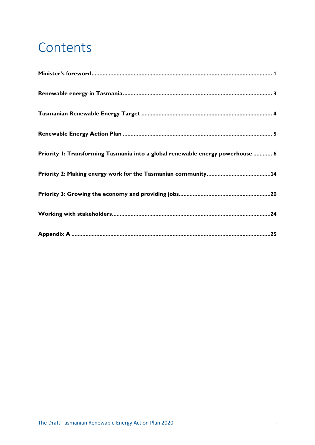# **Contents**

| Priority 1: Transforming Tasmania into a global renewable energy powerhouse  6 |
|--------------------------------------------------------------------------------|
|                                                                                |
|                                                                                |
|                                                                                |
|                                                                                |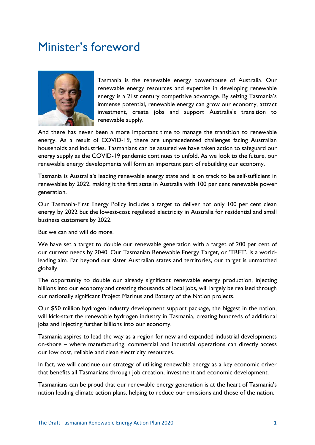## Minister's foreword



Tasmania is the renewable energy powerhouse of Australia. Our renewable energy resources and expertise in developing renewable energy is a 21st century competitive advantage. By seizing Tasmania's immense potential, renewable energy can grow our economy, attract investment, create jobs and support Australia's transition to renewable supply.

And there has never been a more important time to manage the transition to renewable energy. As a result of COVID-19, there are unprecedented challenges facing Australian households and industries. Tasmanians can be assured we have taken action to safeguard our energy supply as the COVID-19 pandemic continues to unfold. As we look to the future, our renewable energy developments will form an important part of rebuilding our economy.

Tasmania is Australia's leading renewable energy state and is on track to be self-sufficient in renewables by 2022, making it the first state in Australia with 100 per cent renewable power generation.

Our Tasmania-First Energy Policy includes a target to deliver not only 100 per cent clean energy by 2022 but the lowest-cost regulated electricity in Australia for residential and small business customers by 2022.

But we can and will do more.

We have set a target to double our renewable generation with a target of 200 per cent of our current needs by 2040. Our Tasmanian Renewable Energy Target, or 'TRET', is a worldleading aim. Far beyond our sister Australian states and territories, our target is unmatched globally.

The opportunity to double our already significant renewable energy production, injecting billions into our economy and creating thousands of local jobs, will largely be realised through our nationally significant Project Marinus and Battery of the Nation projects.

Our \$50 million hydrogen industry development support package, the biggest in the nation, will kick-start the renewable hydrogen industry in Tasmania, creating hundreds of additional jobs and injecting further billions into our economy.

Tasmania aspires to lead the way as a region for new and expanded industrial developments on-shore – where manufacturing, commercial and industrial operations can directly access our low cost, reliable and clean electricity resources.

In fact, we will continue our strategy of utilising renewable energy as a key economic driver that benefits all Tasmanians through job creation, investment and economic development.

Tasmanians can be proud that our renewable energy generation is at the heart of Tasmania's nation leading climate action plans, helping to reduce our emissions and those of the nation.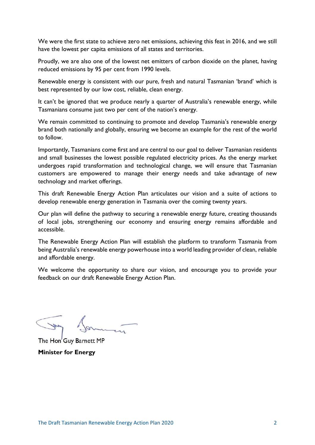We were the first state to achieve zero net emissions, achieving this feat in 2016, and we still have the lowest per capita emissions of all states and territories.

Proudly, we are also one of the lowest net emitters of carbon dioxide on the planet, having reduced emissions by 95 per cent from 1990 levels.

Renewable energy is consistent with our pure, fresh and natural Tasmanian 'brand' which is best represented by our low cost, reliable, clean energy.

It can't be ignored that we produce nearly a quarter of Australia's renewable energy, while Tasmanians consume just two per cent of the nation's energy.

We remain committed to continuing to promote and develop Tasmania's renewable energy brand both nationally and globally, ensuring we become an example for the rest of the world to follow.

Importantly, Tasmanians come first and are central to our goal to deliver Tasmanian residents and small businesses the lowest possible regulated electricity prices. As the energy market undergoes rapid transformation and technological change, we will ensure that Tasmanian customers are empowered to manage their energy needs and take advantage of new technology and market offerings.

This draft Renewable Energy Action Plan articulates our vision and a suite of actions to develop renewable energy generation in Tasmania over the coming twenty years.

Our plan will define the pathway to securing a renewable energy future, creating thousands of local jobs, strengthening our economy and ensuring energy remains affordable and accessible.

The Renewable Energy Action Plan will establish the platform to transform Tasmania from being Australia's renewable energy powerhouse into a world leading provider of clean, reliable and affordable energy.

We welcome the opportunity to share our vision, and encourage you to provide your feedback on our draft Renewable Energy Action Plan.

The Hon' Guy Barnett MP **Minister for Energy**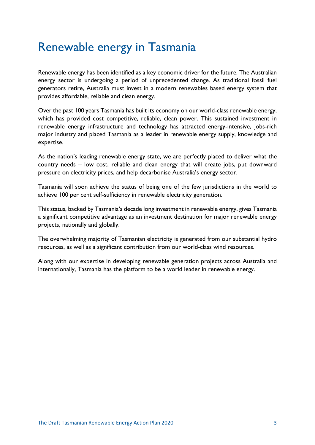## Renewable energy in Tasmania

Renewable energy has been identified as a key economic driver for the future. The Australian energy sector is undergoing a period of unprecedented change. As traditional fossil fuel generators retire, Australia must invest in a modern renewables based energy system that provides affordable, reliable and clean energy.

Over the past 100 years Tasmania has built its economy on our world-class renewable energy, which has provided cost competitive, reliable, clean power. This sustained investment in renewable energy infrastructure and technology has attracted energy-intensive, jobs-rich major industry and placed Tasmania as a leader in renewable energy supply, knowledge and expertise.

As the nation's leading renewable energy state, we are perfectly placed to deliver what the country needs – low cost, reliable and clean energy that will create jobs, put downward pressure on electricity prices, and help decarbonise Australia's energy sector.

Tasmania will soon achieve the status of being one of the few jurisdictions in the world to achieve 100 per cent self-sufficiency in renewable electricity generation.

This status, backed by Tasmania's decade long investment in renewable energy, gives Tasmania a significant competitive advantage as an investment destination for major renewable energy projects, nationally and globally.

The overwhelming majority of Tasmanian electricity is generated from our substantial hydro resources, as well as a significant contribution from our world-class wind resources.

Along with our expertise in developing renewable generation projects across Australia and internationally, Tasmania has the platform to be a world leader in renewable energy.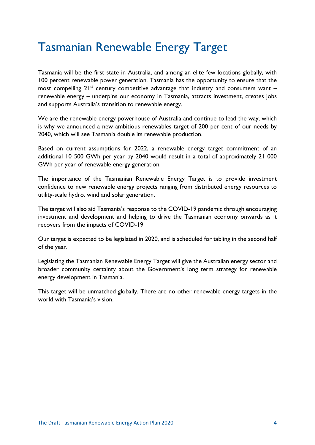## Tasmanian Renewable Energy Target

Tasmania will be the first state in Australia, and among an elite few locations globally, with 100 percent renewable power generation. Tasmania has the opportunity to ensure that the most compelling  $21^{st}$  century competitive advantage that industry and consumers want – renewable energy – underpins our economy in Tasmania, attracts investment, creates jobs and supports Australia's transition to renewable energy.

We are the renewable energy powerhouse of Australia and continue to lead the way, which is why we announced a new ambitious renewables target of 200 per cent of our needs by 2040, which will see Tasmania double its renewable production.

Based on current assumptions for 2022, a renewable energy target commitment of an additional 10 500 GWh per year by 2040 would result in a total of approximately 21 000 GWh per year of renewable energy generation.

The importance of the Tasmanian Renewable Energy Target is to provide investment confidence to new renewable energy projects ranging from distributed energy resources to utility-scale hydro, wind and solar generation.

The target will also aid Tasmania's response to the COVID-19 pandemic through encouraging investment and development and helping to drive the Tasmanian economy onwards as it recovers from the impacts of COVID-19

Our target is expected to be legislated in 2020, and is scheduled for tabling in the second half of the year.

Legislating the Tasmanian Renewable Energy Target will give the Australian energy sector and broader community certainty about the Government's long term strategy for renewable energy development in Tasmania.

This target will be unmatched globally. There are no other renewable energy targets in the world with Tasmania's vision.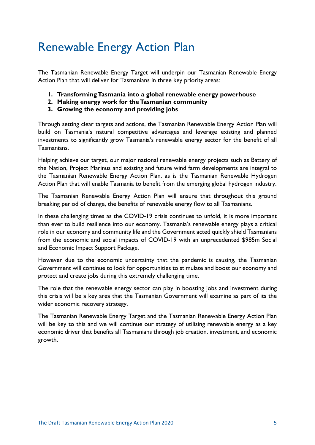## Renewable Energy Action Plan

The Tasmanian Renewable Energy Target will underpin our Tasmanian Renewable Energy Action Plan that will deliver for Tasmanians in three key priority areas:

- **1. Transforming Tasmania into a global renewable energy powerhouse**
- **2. Making energy work for the Tasmanian community**
- **3. Growing the economy and providing jobs**

Through setting clear targets and actions, the Tasmanian Renewable Energy Action Plan will build on Tasmania's natural competitive advantages and leverage existing and planned investments to significantly grow Tasmania's renewable energy sector for the benefit of all Tasmanians.

Helping achieve our target, our major national renewable energy projects such as Battery of the Nation, Project Marinus and existing and future wind farm developments are integral to the Tasmanian Renewable Energy Action Plan, as is the Tasmanian Renewable Hydrogen Action Plan that will enable Tasmania to benefit from the emerging global hydrogen industry.

The Tasmanian Renewable Energy Action Plan will ensure that throughout this ground breaking period of change, the benefits of renewable energy flow to all Tasmanians.

In these challenging times as the COVID-19 crisis continues to unfold, it is more important than ever to build resilience into our economy. Tasmania's renewable energy plays a critical role in our economy and community life and the Government acted quickly shield Tasmanians from the economic and social impacts of COVID-19 with an unprecedented \$985m Social and Economic Impact Support Package.

However due to the economic uncertainty that the pandemic is causing, the Tasmanian Government will continue to look for opportunities to stimulate and boost our economy and protect and create jobs during this extremely challenging time.

The role that the renewable energy sector can play in boosting jobs and investment during this crisis will be a key area that the Tasmanian Government will examine as part of its the wider economic recovery strategy.

The Tasmanian Renewable Energy Target and the Tasmanian Renewable Energy Action Plan will be key to this and we will continue our strategy of utilising renewable energy as a key economic driver that benefits all Tasmanians through job creation, investment, and economic growth.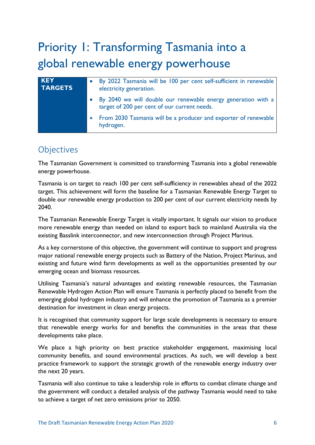# Priority 1: Transforming Tasmania into a global renewable energy powerhouse

| <b>KEY</b><br><b>TARGETS</b> | By 2022 Tasmania will be 100 per cent self-sufficient in renewable<br>electricity generation.                 |
|------------------------------|---------------------------------------------------------------------------------------------------------------|
|                              | By 2040 we will double our renewable energy generation with a<br>target of 200 per cent of our current needs. |
|                              | • From 2030 Tasmania will be a producer and exporter of renewable<br>hydrogen.                                |

### **Objectives**

The Tasmanian Government is committed to transforming Tasmania into a global renewable energy powerhouse.

Tasmania is on target to reach 100 per cent self-sufficiency in renewables ahead of the 2022 target. This achievement will form the baseline for a Tasmanian Renewable Energy Target to double our renewable energy production to 200 per cent of our current electricity needs by 2040.

The Tasmanian Renewable Energy Target is vitally important. It signals our vision to produce more renewable energy than needed on island to export back to mainland Australia via the existing Basslink interconnector, and new interconnection through Project Marinus.

As a key cornerstone of this objective, the government will continue to support and progress major national renewable energy projects such as Battery of the Nation, Project Marinus, and existing and future wind farm developments as well as the opportunities presented by our emerging ocean and biomass resources.

Utilising Tasmania's natural advantages and existing renewable resources, the Tasmanian Renewable Hydrogen Action Plan will ensure Tasmania is perfectly placed to benefit from the emerging global hydrogen industry and will enhance the promotion of Tasmania as a premier destination for investment in clean energy projects.

It is recognised that community support for large scale developments is necessary to ensure that renewable energy works for and benefits the communities in the areas that these developments take place.

We place a high priority on best practice stakeholder engagement, maximising local community benefits, and sound environmental practices. As such, we will develop a best practice framework to support the strategic growth of the renewable energy industry over the next 20 years.

Tasmania will also continue to take a leadership role in efforts to combat climate change and the government will conduct a detailed analysis of the pathway Tasmania would need to take to achieve a target of net zero emissions prior to 2050.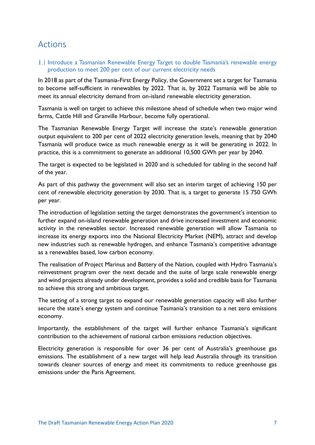### Actions

1.1 Introduce a Tasmanian Renewable Energy Target to double Tasmania's renewable energy production to meet 200 per cent of our current electricity needs

In 2018 as part of the Tasmania-First Energy Policy, the Government set a target for Tasmania to become self-sufficient in renewables by 2022. That is, by 2022 Tasmania will be able to meet its annual electricity demand from on-island renewable electricity generation.

Tasmania is well on target to achieve this milestone ahead of schedule when two major wind farms, Cattle Hill and Granville Harbour, become fully operational.

The Tasmanian Renewable Energy Target will increase the state's renewable generation output equivalent to 200 per cent of 2022 electricity generation levels, meaning that by 2040 Tasmania will produce twice as much renewable energy as it will be generating in 2022. In practice, this is a commitment to generate an additional 10,500 GWh per year by 2040.

The target is expected to be legislated in 2020 and is scheduled for tabling in the second half of the year.

As part of this pathway the government will also set an interim target of achieving 150 per cent of renewable electricity generation by 2030. That is, a target to generate 15 750 GWh per year.

The introduction of legislation setting the target demonstrates the government's intention to further expand on-island renewable generation and drive increased investment and economic activity in the renewables sector. Increased renewable generation will allow Tasmania to increase its energy exports into the National Electricity Market (NEM), attract and develop new industries such as renewable hydrogen, and enhance Tasmania's competitive advantage as a renewables based, low carbon economy.

The realisation of Project Marinus and Battery of the Nation, coupled with Hydro Tasmania's reinvestment program over the next decade and the suite of large scale renewable energy and wind projects already under development, provides a solid and credible basis for Tasmania to achieve this strong and ambitious target.

The setting of a strong target to expand our renewable generation capacity will also further secure the state's energy system and continue Tasmania's transition to a net zero emissions economy.

Importantly, the establishment of the target will further enhance Tasmania's significant contribution to the achievement of national carbon emissions reduction objectives.

Electricity generation is responsible for over 36 per cent of Australia's greenhouse gas emissions. The establishment of a new target will help lead Australia through its transition towards cleaner sources of energy and meet its commitments to reduce greenhouse gas emissions under the Paris Agreement.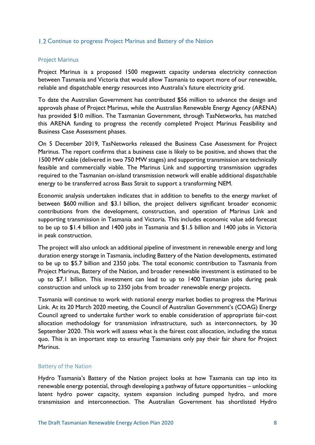#### 1.2 Continue to progress Project Marinus and Battery of the Nation

#### Project Marinus

Project Marinus is a proposed 1500 megawatt capacity undersea electricity connection between Tasmania and Victoria that would allow Tasmania to export more of our renewable, reliable and dispatchable energy resources into Australia's future electricity grid.

To date the Australian Government has contributed \$56 million to advance the design and approvals phase of Project Marinus, while the Australian Renewable Energy Agency (ARENA) has provided \$10 million. The Tasmanian Government, through TasNetworks, has matched this ARENA funding to progress the recently completed Project Marinus Feasibility and Business Case Assessment phases.

On 5 December 2019, TasNetworks released the Business Case Assessment for Project Marinus. The report confirms that a business case is likely to be positive, and shows that the 1500 MW cable (delivered in two 750 MW stages) and supporting transmission are technically feasible and commercially viable. The Marinus Link and supporting transmission upgrades required to the Tasmanian on-island transmission network will enable additional dispatchable energy to be transferred across Bass Strait to support a transforming NEM.

Economic analysis undertaken indicates that in addition to benefits to the energy market of between \$600 million and \$3.1 billion, the project delivers significant broader economic contributions from the development, construction, and operation of Marinus Link and supporting transmission in Tasmania and Victoria. This includes economic value add forecast to be up to \$1.4 billion and 1400 jobs in Tasmania and \$1.5 billion and 1400 jobs in Victoria in peak construction.

The project will also unlock an additional pipeline of investment in renewable energy and long duration energy storage in Tasmania, including Battery of the Nation developments, estimated to be up to \$5.7 billion and 2350 jobs. The total economic contribution to Tasmania from Project Marinus, Battery of the Nation, and broader renewable investment is estimated to be up to \$7.1 billion. This investment can lead to up to 1400 Tasmanian jobs during peak construction and unlock up to 2350 jobs from broader renewable energy projects.

Tasmania will continue to work with national energy market bodies to progress the Marinus Link. At its 20 March 2020 meeting, the Council of Australian Government's (COAG) Energy Council agreed to undertake further work to enable consideration of appropriate fair-cost allocation methodology for transmission infrastructure, such as interconnectors, by 30 September 2020. This work will assess what is the fairest cost allocation, including the status quo. This is an important step to ensuring Tasmanians only pay their fair share for Project Marinus.

#### Battery of the Nation

Hydro Tasmania's Battery of the Nation project looks at how Tasmania can tap into its renewable energy potential, through developing a pathway of future opportunities – unlocking latent hydro power capacity, system expansion including pumped hydro, and more transmission and interconnection. The Australian Government has shortlisted Hydro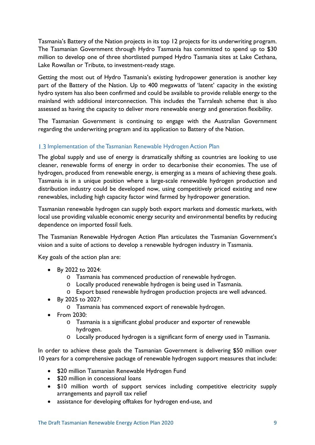Tasmania's Battery of the Nation projects in its top 12 projects for its underwriting program. The Tasmanian Government through Hydro Tasmania has committed to spend up to \$30 million to develop one of three shortlisted pumped Hydro Tasmania sites at Lake Cethana, Lake Rowallan or Tribute, to investment-ready stage.

Getting the most out of Hydro Tasmania's existing hydropower generation is another key part of the Battery of the Nation. Up to 400 megawatts of 'latent' capacity in the existing hydro system has also been confirmed and could be available to provide reliable energy to the mainland with additional interconnection. This includes the Tarraleah scheme that is also assessed as having the capacity to deliver more renewable energy and generation flexibility.

The Tasmanian Government is continuing to engage with the Australian Government regarding the underwriting program and its application to Battery of the Nation.

#### 1.3 Implementation of the Tasmanian Renewable Hydrogen Action Plan

The global supply and use of energy is dramatically shifting as countries are looking to use cleaner, renewable forms of energy in order to decarbonise their economies. The use of hydrogen, produced from renewable energy, is emerging as a means of achieving these goals. Tasmania is in a unique position where a large-scale renewable hydrogen production and distribution industry could be developed now, using competitively priced existing and new renewables, including high capacity factor wind farmed by hydropower generation.

Tasmanian renewable hydrogen can supply both export markets and domestic markets, with local use providing valuable economic energy security and environmental benefits by reducing dependence on imported fossil fuels.

The Tasmanian Renewable Hydrogen Action Plan articulates the Tasmanian Government's vision and a suite of actions to develop a renewable hydrogen industry in Tasmania.

Key goals of the action plan are:

- By 2022 to 2024:
	- o Tasmania has commenced production of renewable hydrogen.
	- o Locally produced renewable hydrogen is being used in Tasmania.
	- o Export based renewable hydrogen production projects are well advanced.
- By 2025 to 2027:
	- o Tasmania has commenced export of renewable hydrogen.
- From 2030:
	- o Tasmania is a significant global producer and exporter of renewable hydrogen.
	- o Locally produced hydrogen is a significant form of energy used in Tasmania.

In order to achieve these goals the Tasmanian Government is delivering \$50 million over 10 years for a comprehensive package of renewable hydrogen support measures that include:

- \$20 million Tasmanian Renewable Hydrogen Fund
- \$20 million in concessional loans
- \$10 million worth of support services including competitive electricity supply arrangements and payroll tax relief
- assistance for developing offtakes for hydrogen end-use, and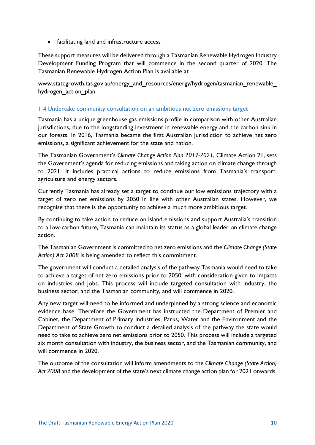• facilitating land and infrastructure access

These support measures will be delivered through a Tasmanian Renewable Hydrogen Industry Development Funding Program that will commence in the second quarter of 2020. The Tasmanian Renewable Hydrogen Action Plan is available at

www.stategrowth.tas.gov.au/energy\_and\_resources/energy/hydrogen/tasmanian\_renewable hydrogen action plan

#### Undertake community consultation on an ambitious net zero emissions target

Tasmania has a unique greenhouse gas emissions profile in comparison with other Australian jurisdictions, due to the longstanding investment in renewable energy and the carbon sink in our forests. In 2016, Tasmania became the first Australian jurisdiction to achieve net zero emissions, a significant achievement for the state and nation.

The Tasmanian Government's *Climate Change Action Plan 2017-2021*, Climate Action 21, sets the Government's agenda for reducing emissions and taking action on climate change through to 2021. It includes practical actions to reduce emissions from Tasmania's transport, agriculture and energy sectors.

Currently Tasmania has already set a target to continue our low emissions trajectory with a target of zero net emissions by 2050 in line with other Australian states. However, we recognise that there is the opportunity to achieve a much more ambitious target.

By continuing to take action to reduce on island emissions and support Australia's transition to a low-carbon future, Tasmania can maintain its status as a global leader on climate change action.

The Tasmanian Government is committed to net zero emissions and the *Climate Change (State Action) Act 2008* is being amended to reflect this commitment.

The government will conduct a detailed analysis of the pathway Tasmania would need to take to achieve a target of net zero emissions prior to 2050, with consideration given to impacts on industries and jobs. This process will include targeted consultation with industry, the business sector, and the Tasmanian community, and will commence in 2020.

Any new target will need to be informed and underpinned by a strong science and economic evidence base. Therefore the Government has instructed the Department of Premier and Cabinet, the Department of Primary Industries, Parks, Water and the Environment and the Department of State Growth to conduct a detailed analysis of the pathway the state would need to take to achieve zero net emissions prior to 2050. This process will include a targeted six month consultation with industry, the business sector, and the Tasmanian community, and will commence in 2020.

The outcome of the consultation will inform amendments to the *Climate Change (State Action) Act 2008* and the development of the state's next climate change action plan for 2021 onwards.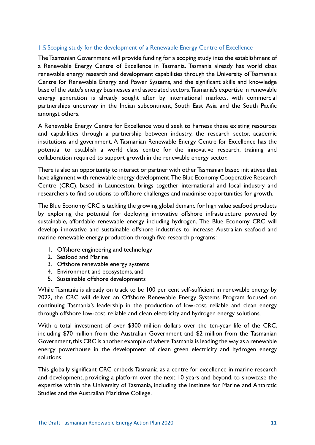#### 1.5 Scoping study for the development of a Renewable Energy Centre of Excellence

The Tasmanian Government will provide funding for a scoping study into the establishment of a Renewable Energy Centre of Excellence in Tasmania. Tasmania already has world class renewable energy research and development capabilities through the University of Tasmania's Centre for Renewable Energy and Power Systems, and the significant skills and knowledge base of the state's energy businesses and associated sectors. Tasmania's expertise in renewable energy generation is already sought after by international markets, with commercial partnerships underway in the Indian subcontinent, South East Asia and the South Pacific amongst others.

A Renewable Energy Centre for Excellence would seek to harness these existing resources and capabilities through a partnership between industry, the research sector, academic institutions and government. A Tasmanian Renewable Energy Centre for Excellence has the potential to establish a world class centre for the innovative research, training and collaboration required to support growth in the renewable energy sector.

There is also an opportunity to interact or partner with other Tasmanian based initiatives that have alignment with renewable energy development. The Blue Economy Cooperative Research Centre (CRC), based in Launceston, brings together international and local industry and researchers to find solutions to offshore challenges and maximise opportunities for growth.

The Blue Economy CRC is tackling the growing global demand for high value seafood products by exploring the potential for deploying innovative offshore infrastructure powered by sustainable, affordable renewable energy including hydrogen. The Blue Economy CRC will develop innovative and sustainable offshore industries to increase Australian seafood and marine renewable energy production through five research programs:

- 1. Offshore engineering and technology
- 2. Seafood and Marine
- 3. Offshore renewable energy systems
- 4. Environment and ecosystems, and
- 5. Sustainable offshore developments

While Tasmania is already on track to be 100 per cent self-sufficient in renewable energy by 2022, the CRC will deliver an Offshore Renewable Energy Systems Program focused on continuing Tasmania's leadership in the production of low-cost, reliable and clean energy through offshore low-cost, reliable and clean electricity and hydrogen energy solutions.

With a total investment of over \$300 million dollars over the ten-year life of the CRC, including \$70 million from the Australian Government and \$2 million from the Tasmanian Government, this CRC is another example of where Tasmania is leading the way as a renewable energy powerhouse in the development of clean green electricity and hydrogen energy solutions.

This globally significant CRC embeds Tasmania as a centre for excellence in marine research and development, providing a platform over the next 10 years and beyond, to showcase the expertise within the University of Tasmania, including the Institute for Marine and Antarctic Studies and the Australian Maritime College.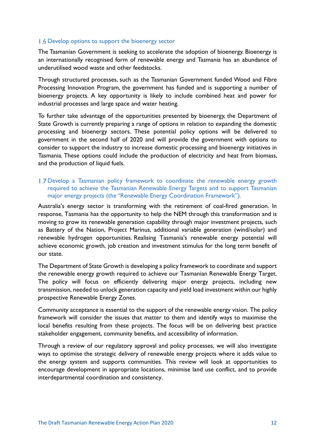#### 1.6 Develop options to support the bioenergy sector

The Tasmanian Government is seeking to accelerate the adoption of bioenergy. Bioenergy is an internationally recognised form of renewable energy and Tasmania has an abundance of underutilised wood waste and other feedstocks.

Through structured processes, such as the Tasmanian Government funded Wood and Fibre Processing Innovation Program, the government has funded and is supporting a number of bioenergy projects. A key opportunity is likely to include combined heat and power for industrial processes and large space and water heating.

To further take advantage of the opportunities presented by bioenergy, the Department of State Growth is currently preparing a range of options in relation to expanding the domestic processing and bioenergy sectors. These potential policy options will be delivered to government in the second half of 2020 and will provide the government with options to consider to support the industry to increase domestic processing and bioenergy initiatives in Tasmania. These options could include the production of electricity and heat from biomass, and the production of liquid fuels.

#### 1.7 Develop a Tasmanian policy framework to coordinate the renewable energy growth required to achieve the Tasmanian Renewable Energy Targets and to support Tasmanian major energy projects (the "Renewable Energy Coordination Framework").

Australia's energy sector is transforming with the retirement of coal-fired generation. In response, Tasmania has the opportunity to help the NEM through this transformation and is moving to grow its renewable generation capability through major investment projects, such as Battery of the Nation, Project Marinus, additional variable generation (wind/solar) and renewable hydrogen opportunities. Realising Tasmania's renewable energy potential will achieve economic growth, job creation and investment stimulus for the long term benefit of our state.

The Department of State Growth is developing a policy framework to coordinate and support the renewable energy growth required to achieve our Tasmanian Renewable Energy Target. The policy will focus on efficiently delivering major energy projects, including new transmission, needed to unlock generation capacity and yield load investment within our highly prospective Renewable Energy Zones.

Community acceptance is essential to the support of the renewable energy vision. The policy framework will consider the issues that matter to them and identify ways to maximise the local benefits resulting from these projects. The focus will be on delivering best practice stakeholder engagement, community benefits, and accessibility of information.

Through a review of our regulatory approval and policy processes, we will also investigate ways to optimise the strategic delivery of renewable energy projects where it adds value to the energy system and supports communities. This review will look at opportunities to encourage development in appropriate locations, minimise land use conflict, and to provide interdepartmental coordination and consistency.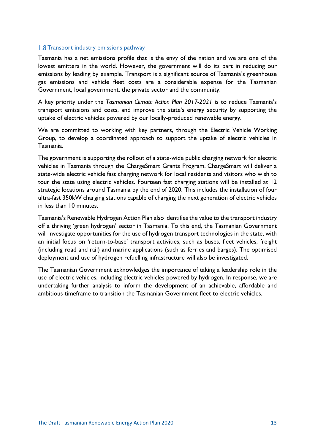#### **1.8 Transport industry emissions pathway**

Tasmania has a net emissions profile that is the envy of the nation and we are one of the lowest emitters in the world. However, the government will do its part in reducing our emissions by leading by example. Transport is a significant source of Tasmania's greenhouse gas emissions and vehicle fleet costs are a considerable expense for the Tasmanian Government, local government, the private sector and the community.

A key priority under the *Tasmanian Climate Action Plan 2017-2021* is to reduce Tasmania's transport emissions and costs, and improve the state's energy security by supporting the uptake of electric vehicles powered by our locally-produced renewable energy.

We are committed to working with key partners, through the Electric Vehicle Working Group, to develop a coordinated approach to support the uptake of electric vehicles in Tasmania.

The government is supporting the rollout of a state-wide public charging network for electric vehicles in Tasmania through the ChargeSmart Grants Program. ChargeSmart will deliver a state-wide electric vehicle fast charging network for local residents and visitors who wish to tour the state using electric vehicles. Fourteen fast charging stations will be installed at 12 strategic locations around Tasmania by the end of 2020. This includes the installation of four ultra-fast 350kW charging stations capable of charging the next generation of electric vehicles in less than 10 minutes.

Tasmania's Renewable Hydrogen Action Plan also identifies the value to the transport industry off a thriving 'green hydrogen' sector in Tasmania. To this end, the Tasmanian Government will investigate opportunities for the use of hydrogen transport technologies in the state, with an initial focus on 'return-to-base' transport activities, such as buses, fleet vehicles, freight (including road and rail) and marine applications (such as ferries and barges). The optimised deployment and use of hydrogen refuelling infrastructure will also be investigated.

The Tasmanian Government acknowledges the importance of taking a leadership role in the use of electric vehicles, including electric vehicles powered by hydrogen. In response, we are undertaking further analysis to inform the development of an achievable, affordable and ambitious timeframe to transition the Tasmanian Government fleet to electric vehicles.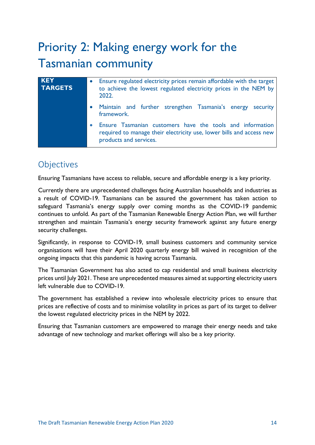# Priority 2: Making energy work for the Tasmanian community

| <b>KEY</b><br><b>TARGETS</b> | Ensure regulated electricity prices remain affordable with the target<br>to achieve the lowest regulated electricity prices in the NEM by<br>2022.            |
|------------------------------|---------------------------------------------------------------------------------------------------------------------------------------------------------------|
|                              | • Maintain and further strengthen Tasmania's energy security<br>framework.                                                                                    |
|                              | • Ensure Tasmanian customers have the tools and information<br>required to manage their electricity use, lower bills and access new<br>products and services. |

## **Objectives**

Ensuring Tasmanians have access to reliable, secure and affordable energy is a key priority.

Currently there are unprecedented challenges facing Australian households and industries as a result of COVID-19. Tasmanians can be assured the government has taken action to safeguard Tasmania's energy supply over coming months as the COVID-19 pandemic continues to unfold. As part of the Tasmanian Renewable Energy Action Plan, we will further strengthen and maintain Tasmania's energy security framework against any future energy security challenges.

Significantly, in response to COVID-19, small business customers and community service organisations will have their April 2020 quarterly energy bill waived in recognition of the ongoing impacts that this pandemic is having across Tasmania.

The Tasmanian Government has also acted to cap residential and small business electricity prices until July 2021. These are unprecedented measures aimed at supporting electricity users left vulnerable due to COVID-19.

The government has established a review into wholesale electricity prices to ensure that prices are reflective of costs and to minimise volatility in prices as part of its target to deliver the lowest regulated electricity prices in the NEM by 2022.

Ensuring that Tasmanian customers are empowered to manage their energy needs and take advantage of new technology and market offerings will also be a key priority.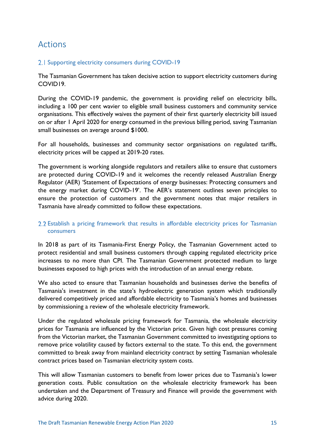### Actions

#### 2.1 Supporting electricity consumers during COVID-19

The Tasmanian Government has taken decisive action to support electricity customers during COVID19.

During the COVID-19 pandemic, the government is providing relief on electricity bills, including a 100 per cent wavier to eligible small business customers and community service organisations. This effectively waives the payment of their first quarterly electricity bill issued on or after 1 April 2020 for energy consumed in the previous billing period, saving Tasmanian small businesses on average around \$1000.

For all households, businesses and community sector organisations on regulated tariffs, electricity prices will be capped at 2019-20 rates.

The government is working alongside regulators and retailers alike to ensure that customers are protected during COVID-19 and it welcomes the recently released Australian Energy Regulator (AER) 'Statement of Expectations of energy businesses: Protecting consumers and the energy market during COVID-19'. The AER's statement outlines seven principles to ensure the protection of customers and the government notes that major retailers in Tasmania have already committed to follow these expectations.

#### 2.2 Establish a pricing framework that results in affordable electricity prices for Tasmanian consumers

In 2018 as part of its Tasmania-First Energy Policy, the Tasmanian Government acted to protect residential and small business customers through capping regulated electricity price increases to no more than CPI. The Tasmanian Government protected medium to large businesses exposed to high prices with the introduction of an annual energy rebate.

We also acted to ensure that Tasmanian households and businesses derive the benefits of Tasmania's investment in the state's hydroelectric generation system which traditionally delivered competitively priced and affordable electricity to Tasmania's homes and businesses by commissioning a review of the wholesale electricity framework.

Under the regulated wholesale pricing framework for Tasmania, the wholesale electricity prices for Tasmania are influenced by the Victorian price. Given high cost pressures coming from the Victorian market, the Tasmanian Government committed to investigating options to remove price volatility caused by factors external to the state. To this end, the government committed to break away from mainland electricity contract by setting Tasmanian wholesale contract prices based on Tasmanian electricity system costs.

This will allow Tasmanian customers to benefit from lower prices due to Tasmania's lower generation costs. Public consultation on the wholesale electricity framework has been undertaken and the Department of Treasury and Finance will provide the government with advice during 2020.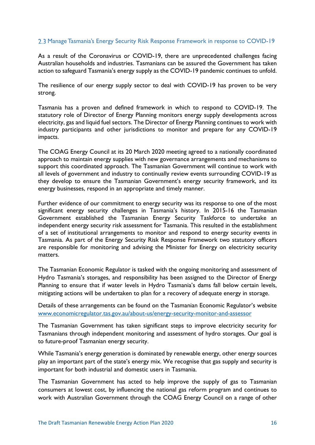#### 2.3 Manage Tasmania's Energy Security Risk Response Framework in response to COVID-19

As a result of the Coronavirus or COVID-19, there are unprecedented challenges facing Australian households and industries. Tasmanians can be assured the Government has taken action to safeguard Tasmania's energy supply as the COVID-19 pandemic continues to unfold.

The resilience of our energy supply sector to deal with COVID-19 has proven to be very strong.

Tasmania has a proven and defined framework in which to respond to COVID-19. The statutory role of Director of Energy Planning monitors energy supply developments across electricity, gas and liquid fuel sectors. The Director of Energy Planning continues to work with industry participants and other jurisdictions to monitor and prepare for any COVID-19 impacts.

The COAG Energy Council at its 20 March 2020 meeting agreed to a nationally coordinated approach to maintain energy supplies with new governance arrangements and mechanisms to support this coordinated approach. The Tasmanian Government will continue to work with all levels of government and industry to continually review events surrounding COVID-19 as they develop to ensure the Tasmanian Government's energy security framework, and its energy businesses, respond in an appropriate and timely manner.

Further evidence of our commitment to energy security was its response to one of the most significant energy security challenges in Tasmania's history. In 2015-16 the Tasmanian Government established the Tasmanian Energy Security Taskforce to undertake an independent energy security risk assessment for Tasmania. This resulted in the establishment of a set of institutional arrangements to monitor and respond to energy security events in Tasmania. As part of the Energy Security Risk Response Framework two statutory officers are responsible for monitoring and advising the Minister for Energy on electricity security matters.

The Tasmanian Economic Regulator is tasked with the ongoing monitoring and assessment of Hydro Tasmania's storages, and responsibility has been assigned to the Director of Energy Planning to ensure that if water levels in Hydro Tasmania's dams fall below certain levels, mitigating actions will be undertaken to plan for a recovery of adequate energy in storage.

Details of these arrangements can be found on the Tasmanian Economic Regulator's website www.economicregulator.tas.gov.au/about-us/energy-security-monitor-and-assessor

The Tasmanian Government has taken significant steps to improve electricity security for Tasmanians through independent monitoring and assessment of hydro storages. Our goal is to future-proof Tasmanian energy security.

While Tasmania's energy generation is dominated by renewable energy, other energy sources play an important part of the state's energy mix. We recognise that gas supply and security is important for both industrial and domestic users in Tasmania.

The Tasmanian Government has acted to help improve the supply of gas to Tasmanian consumers at lowest cost, by influencing the national gas reform program and continues to work with Australian Government through the COAG Energy Council on a range of other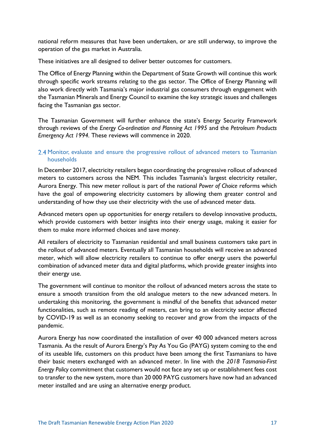national reform measures that have been undertaken, or are still underway, to improve the operation of the gas market in Australia.

These initiatives are all designed to deliver better outcomes for customers.

The Office of Energy Planning within the Department of State Growth will continue this work through specific work streams relating to the gas sector. The Office of Energy Planning will also work directly with Tasmania's major industrial gas consumers through engagement with the Tasmanian Minerals and Energy Council to examine the key strategic issues and challenges facing the Tasmanian gas sector.

The Tasmanian Government will further enhance the state's Energy Security Framework through reviews of the *Energy Co-ordination and Planning Act 1995* and the *Petroleum Products Emergency Act 1994.* These reviews will commence in 2020.

#### 2.4 Monitor, evaluate and ensure the progressive rollout of advanced meters to Tasmanian households

In December 2017, electricity retailers began coordinating the progressive rollout of advanced meters to customers across the NEM. This includes Tasmania's largest electricity retailer, Aurora Energy. This new meter rollout is part of the national *Power of Choice* reforms which have the goal of empowering electricity customers by allowing them greater control and understanding of how they use their electricity with the use of advanced meter data.

Advanced meters open up opportunities for energy retailers to develop innovative products, which provide customers with better insights into their energy usage, making it easier for them to make more informed choices and save money.

All retailers of electricity to Tasmanian residential and small business customers take part in the rollout of advanced meters. Eventually all Tasmanian households will receive an advanced meter, which will allow electricity retailers to continue to offer energy users the powerful combination of advanced meter data and digital platforms, which provide greater insights into their energy use.

The government will continue to monitor the rollout of advanced meters across the state to ensure a smooth transition from the old analogue meters to the new advanced meters. In undertaking this monitoring, the government is mindful of the benefits that advanced meter functionalities, such as remote reading of meters, can bring to an electricity sector affected by COVID-19 as well as an economy seeking to recover and grow from the impacts of the pandemic.

Aurora Energy has now coordinated the installation of over 40 000 advanced meters across Tasmania. As the result of Aurora Energy's Pay As You Go (PAYG) system coming to the end of its useable life, customers on this product have been among the first Tasmanians to have their basic meters exchanged with an advanced meter. In line with the *2018 Tasmania-First Energy Policy* commitment that customers would not face any set up or establishment fees cost to transfer to the new system, more than 20 000 PAYG customers have now had an advanced meter installed and are using an alternative energy product.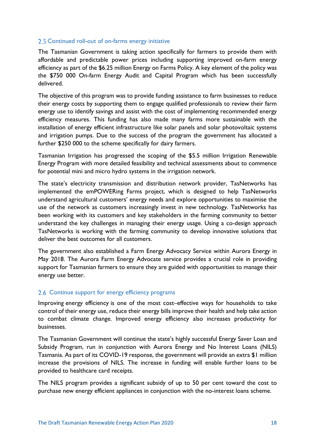#### 2.5 Continued roll-out of on-farms energy initiative

The Tasmanian Government is taking action specifically for farmers to provide them with affordable and predictable power prices including supporting improved on-farm energy efficiency as part of the \$6.25 million Energy on Farms Policy. A key element of the policy was the \$750 000 On-farm Energy Audit and Capital Program which has been successfully delivered.

The objective of this program was to provide funding assistance to farm businesses to reduce their energy costs by supporting them to engage qualified professionals to review their farm energy use to identify savings and assist with the cost of implementing recommended energy efficiency measures. This funding has also made many farms more sustainable with the installation of energy efficient infrastructure like solar panels and solar photovoltaic systems and irrigation pumps. Due to the success of the program the government has allocated a further \$250 000 to the scheme specifically for dairy farmers.

Tasmanian Irrigation has progressed the scoping of the \$5.5 million Irrigation Renewable Energy Program with more detailed feasibility and technical assessments about to commence for potential mini and micro hydro systems in the irrigation network.

The state's electricity transmission and distribution network provider, TasNetworks has implemented the emPOWERing Farms project, which is designed to help TasNetworks understand agricultural customers' energy needs and explore opportunities to maximise the use of the network as customers increasingly invest in new technology. TasNetworks has been working with its customers and key stakeholders in the farming community to better understand the key challenges in managing their energy usage. Using a co-design approach TasNetworks is working with the farming community to develop innovative solutions that deliver the best outcomes for all customers.

The government also established a Farm Energy Advocacy Service within Aurora Energy in May 2018. The Aurora Farm Energy Advocate service provides a crucial role in providing support for Tasmanian farmers to ensure they are guided with opportunities to manage their energy use better.

#### 2.6 Continue support for energy efficiency programs

Improving energy efficiency is one of the most cost–effective ways for households to take control of their energy use, reduce their energy bills improve their health and help take action to combat climate change. Improved energy efficiency also increases productivity for businesses.

The Tasmanian Government will continue the state's highly successful Energy Saver Loan and Subsidy Program, run in conjunction with Aurora Energy and No Interest Loans (NILS) Tasmania. As part of its COVID-19 response, the government will provide an extra \$1 million increase the provisions of NILS. The increase in funding will enable further loans to be provided to healthcare card receipts.

The NILS program provides a significant subsidy of up to 50 per cent toward the cost to purchase new energy efficient appliances in conjunction with the no-interest loans scheme.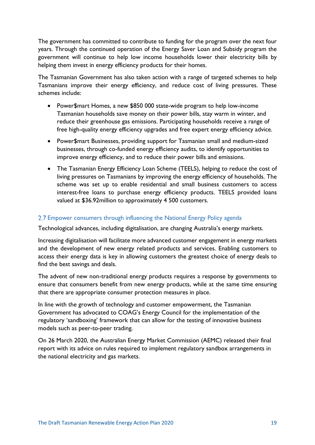The government has committed to contribute to funding for the program over the next four years. Through the continued operation of the Energy Saver Loan and Subsidy program the government will continue to help low income households lower their electricity bills by helping them invest in energy efficiency products for their homes.

The Tasmanian Government has also taken action with a range of targeted schemes to help Tasmanians improve their energy efficiency, and reduce cost of living pressures. These schemes include:

- Power\$mart Homes, a new \$850 000 state-wide program to help low-income Tasmanian households save money on their power bills, stay warm in winter, and reduce their greenhouse gas emissions. Participating households receive a range of free high-quality energy efficiency upgrades and free expert energy efficiency advice.
- Power\$mart Businesses, providing support for Tasmanian small and medium-sized businesses, through co-funded energy efficiency audits, to identify opportunities to improve energy efficiency, and to reduce their power bills and emissions.
- The Tasmanian Energy Efficiency Loan Scheme (TEELS), helping to reduce the cost of living pressures on Tasmanians by improving the energy efficiency of households. The scheme was set up to enable residential and small business customers to access interest-free loans to purchase energy efficiency products. TEELS provided loans valued at \$36.92million to approximately 4 500 customers.

#### 2.7 Empower consumers through influencing the National Energy Policy agenda

Technological advances, including digitalisation, are changing Australia's energy markets.

Increasing digitalisation will facilitate more advanced customer engagement in energy markets and the development of new energy related products and services. Enabling customers to access their energy data is key in allowing customers the greatest choice of energy deals to find the best savings and deals.

The advent of new non-traditional energy products requires a response by governments to ensure that consumers benefit from new energy products, while at the same time ensuring that there are appropriate consumer protection measures in place.

In line with the growth of technology and customer empowerment, the Tasmanian Government has advocated to COAG's Energy Council for the implementation of the regulatory 'sandboxing' framework that can allow for the testing of innovative business models such as peer-to-peer trading.

On 26 March 2020, the Australian Energy Market Commission (AEMC) released their final report with its advice on rules required to implement regulatory sandbox arrangements in the national electricity and gas markets.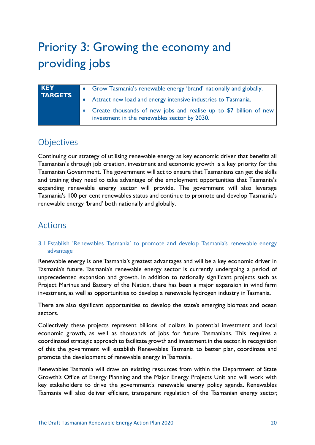# Priority 3: Growing the economy and providing jobs

| <b>KEY</b>     | • Grow Tasmania's renewable energy 'brand' nationally and globally.                                                 |
|----------------|---------------------------------------------------------------------------------------------------------------------|
| <b>TARGETS</b> | • Attract new load and energy intensive industries to Tasmania.                                                     |
|                | • Create thousands of new jobs and realise up to \$7 billion of new<br>investment in the renewables sector by 2030. |

### Objectives

Continuing our strategy of utilising renewable energy as key economic driver that benefits all Tasmanian's through job creation, investment and economic growth is a key priority for the Tasmanian Government. The government will act to ensure that Tasmanians can get the skills and training they need to take advantage of the employment opportunities that Tasmania's expanding renewable energy sector will provide. The government will also leverage Tasmania's 100 per cent renewables status and continue to promote and develop Tasmania's renewable energy 'brand' both nationally and globally.

### Actions

#### 3.1 Establish 'Renewables Tasmania' to promote and develop Tasmania's renewable energy advantage

Renewable energy is one Tasmania's greatest advantages and will be a key economic driver in Tasmania's future. Tasmania's renewable energy sector is currently undergoing a period of unprecedented expansion and growth. In addition to nationally significant projects such as Project Marinus and Battery of the Nation, there has been a major expansion in wind farm investment, as well as opportunities to develop a renewable hydrogen industry in Tasmania.

There are also significant opportunities to develop the state's emerging biomass and ocean sectors.

Collectively these projects represent billions of dollars in potential investment and local economic growth, as well as thousands of jobs for future Tasmanians. This requires a coordinated strategic approach to facilitate growth and investment in the sector. In recognition of this the government will establish Renewables Tasmania to better plan, coordinate and promote the development of renewable energy in Tasmania.

Renewables Tasmania will draw on existing resources from within the Department of State Growth's Office of Energy Planning and the Major Energy Projects Unit and will work with key stakeholders to drive the government's renewable energy policy agenda. Renewables Tasmania will also deliver efficient, transparent regulation of the Tasmanian energy sector,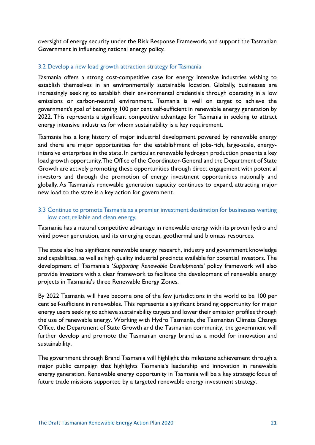oversight of energy security under the Risk Response Framework, and support the Tasmanian Government in influencing national energy policy.

#### 3.2 Develop a new load growth attraction strategy for Tasmania

Tasmania offers a strong cost-competitive case for energy intensive industries wishing to establish themselves in an environmentally sustainable location. Globally, businesses are increasingly seeking to establish their environmental credentials through operating in a low emissions or carbon-neutral environment. Tasmania is well on target to achieve the government's goal of becoming 100 per cent self-sufficient in renewable energy generation by 2022. This represents a significant competitive advantage for Tasmania in seeking to attract energy intensive industries for whom sustainability is a key requirement.

Tasmania has a long history of major industrial development powered by renewable energy and there are major opportunities for the establishment of jobs-rich, large-scale, energyintensive enterprises in the state. In particular, renewable hydrogen production presents a key load growth opportunity. The Office of the Coordinator-General and the Department of State Growth are actively promoting these opportunities through direct engagement with potential investors and through the promotion of energy investment opportunities nationally and globally. As Tasmania's renewable generation capacity continues to expand, attracting major new load to the state is a key action for government.

#### 3.3 Continue to promote Tasmania as a premier investment destination for businesses wanting low cost, reliable and clean energy.

Tasmania has a natural competitive advantage in renewable energy with its proven hydro and wind power generation, and its emerging ocean, geothermal and biomass resources.

The state also has significant renewable energy research, industry and government knowledge and capabilities, as well as high quality industrial precincts available for potential investors. The development of Tasmania's '*Supporting Renewable Developments'* policy framework will also provide investors with a clear framework to facilitate the development of renewable energy projects in Tasmania's three Renewable Energy Zones.

By 2022 Tasmania will have become one of the few jurisdictions in the world to be 100 per cent self-sufficient in renewables. This represents a significant branding opportunity for major energy users seeking to achieve sustainability targets and lower their emission profiles through the use of renewable energy. Working with Hydro Tasmania, the Tasmanian Climate Change Office, the Department of State Growth and the Tasmanian community, the government will further develop and promote the Tasmanian energy brand as a model for innovation and sustainability.

The government through Brand Tasmania will highlight this milestone achievement through a major public campaign that highlights Tasmania's leadership and innovation in renewable energy generation. Renewable energy opportunity in Tasmania will be a key strategic focus of future trade missions supported by a targeted renewable energy investment strategy.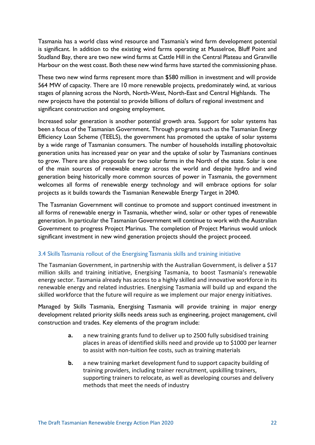Tasmania has a world class wind resource and Tasmania's wind farm development potential is significant. In addition to the existing wind farms operating at Musselroe, Bluff Point and Studland Bay, there are two new wind farms at Cattle Hill in the Central Plateau and Granville Harbour on the west coast. Both these new wind farms have started the commissioning phase.

These two new wind farms represent more than \$580 million in investment and will provide 564 MW of capacity. There are 10 more renewable projects, predominately wind, at various stages of planning across the North, North-West, North-East and Central Highlands. The new projects have the potential to provide billions of dollars of regional investment and significant construction and ongoing employment.

Increased solar generation is another potential growth area. Support for solar systems has been a focus of the Tasmanian Government. Through programs such as the Tasmanian Energy Efficiency Loan Scheme (TEELS), the government has promoted the uptake of solar systems by a wide range of Tasmanian consumers. The number of households installing photovoltaic generation units has increased year on year and the uptake of solar by Tasmanians continues to grow. There are also proposals for two solar farms in the North of the state. Solar is one of the main sources of renewable energy across the world and despite hydro and wind generation being historically more common sources of power in Tasmania, the government welcomes all forms of renewable energy technology and will embrace options for solar projects as it builds towards the Tasmanian Renewable Energy Target in 2040.

The Tasmanian Government will continue to promote and support continued investment in all forms of renewable energy in Tasmania, whether wind, solar or other types of renewable generation. In particular the Tasmanian Government will continue to work with the Australian Government to progress Project Marinus. The completion of Project Marinus would unlock significant investment in new wind generation projects should the project proceed.

#### 3.4 Skills Tasmania rollout of the Energising Tasmania skills and training initiative

The Tasmanian Government, in partnership with the Australian Government, is deliver a \$17 million skills and training initiative, Energising Tasmania, to boost Tasmania's renewable energy sector. Tasmania already has access to a highly skilled and innovative workforce in its renewable energy and related industries. Energising Tasmania will build up and expand the skilled workforce that the future will require as we implement our major energy initiatives.

Managed by Skills Tasmania, Energising Tasmania will provide training in major energy development related priority skills needs areas such as engineering, project management, civil construction and trades. Key elements of the program include:

- **a.** a new training grants fund to deliver up to 2500 fully subsidised training places in areas of identified skills need and provide up to \$1000 per learner to assist with non‐tuition fee costs, such as training materials
- **b.** a new training market development fund to support capacity building of training providers, including trainer recruitment, upskilling trainers, supporting trainers to relocate, as well as developing courses and delivery methods that meet the needs of industry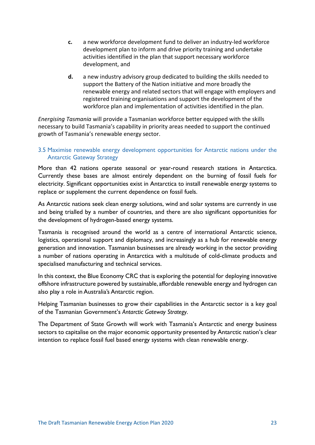- **c.** a new workforce development fund to deliver an industry‐led workforce development plan to inform and drive priority training and undertake activities identified in the plan that support necessary workforce development, and
- **d.** a new industry advisory group dedicated to building the skills needed to support the Battery of the Nation initiative and more broadly the renewable energy and related sectors that will engage with employers and registered training organisations and support the development of the workforce plan and implementation of activities identified in the plan.

*Energising Tasmania* will provide a Tasmanian workforce better equipped with the skills necessary to build Tasmania's capability in priority areas needed to support the continued growth of Tasmania's renewable energy sector.

#### 3.5 Maximise renewable energy development opportunities for Antarctic nations under the Antarctic Gateway Strategy

More than 42 nations operate seasonal or year-round research stations in Antarctica. Currently these bases are almost entirely dependent on the burning of fossil fuels for electricity. Significant opportunities exist in Antarctica to install renewable energy systems to replace or supplement the current dependence on fossil fuels.

As Antarctic nations seek clean energy solutions, wind and solar systems are currently in use and being trialled by a number of countries, and there are also significant opportunities for the development of hydrogen-based energy systems.

Tasmania is recognised around the world as a centre of international Antarctic science, logistics, operational support and diplomacy, and increasingly as a hub for renewable energy generation and innovation. Tasmanian businesses are already working in the sector providing a number of nations operating in Antarctica with a multitude of cold-climate products and specialised manufacturing and technical services.

In this context, the Blue Economy CRC that is exploring the potential for deploying innovative offshore infrastructure powered by sustainable, affordable renewable energy and hydrogen can also play a role in Australia's Antarctic region.

Helping Tasmanian businesses to grow their capabilities in the Antarctic sector is a key goal of the Tasmanian Government's *Antarctic Gateway Strategy*.

The Department of State Growth will work with Tasmania's Antarctic and energy business sectors to capitalise on the major economic opportunity presented by Antarctic nation's clear intention to replace fossil fuel based energy systems with clean renewable energy.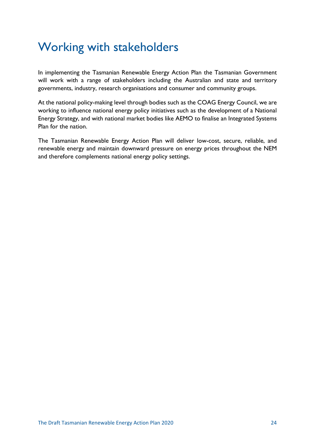## Working with stakeholders

In implementing the Tasmanian Renewable Energy Action Plan the Tasmanian Government will work with a range of stakeholders including the Australian and state and territory governments, industry, research organisations and consumer and community groups.

At the national policy-making level through bodies such as the COAG Energy Council, we are working to influence national energy policy initiatives such as the development of a National Energy Strategy, and with national market bodies like AEMO to finalise an Integrated Systems Plan for the nation.

The Tasmanian Renewable Energy Action Plan will deliver low-cost, secure, reliable, and renewable energy and maintain downward pressure on energy prices throughout the NEM and therefore complements national energy policy settings.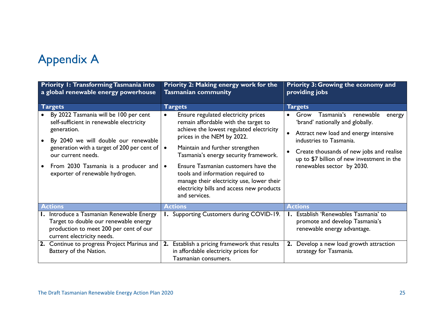# Appendix A

| <b>Priority I: Transforming Tasmania into</b><br>a global renewable energy powerhouse                                                                                                                                                                                                                   | <b>Priority 2: Making energy work for the</b><br><b>Tasmanian community</b>                                                                                                                                                                                                                                                                                                                                                                        | <b>Priority 3: Growing the economy and</b><br>providing jobs                                                                                                                                                                                                              |  |
|---------------------------------------------------------------------------------------------------------------------------------------------------------------------------------------------------------------------------------------------------------------------------------------------------------|----------------------------------------------------------------------------------------------------------------------------------------------------------------------------------------------------------------------------------------------------------------------------------------------------------------------------------------------------------------------------------------------------------------------------------------------------|---------------------------------------------------------------------------------------------------------------------------------------------------------------------------------------------------------------------------------------------------------------------------|--|
| <b>Targets</b>                                                                                                                                                                                                                                                                                          | <b>Targets</b>                                                                                                                                                                                                                                                                                                                                                                                                                                     | <b>Targets</b>                                                                                                                                                                                                                                                            |  |
| By 2022 Tasmania will be 100 per cent<br>self-sufficient in renewable electricity<br>generation.<br>By 2040 we will double our renewable<br>$\bullet$<br>generation with a target of 200 per cent of  <br>our current needs.<br>From 2030 Tasmania is a producer and<br>exporter of renewable hydrogen. | Ensure regulated electricity prices<br>remain affordable with the target to<br>achieve the lowest regulated electricity<br>prices in the NEM by 2022.<br>Maintain and further strengthen<br>$\bullet$<br>Tasmania's energy security framework.<br>Ensure Tasmanian customers have the<br>$\bullet$<br>tools and information required to<br>manage their electricity use, lower their<br>electricity bills and access new products<br>and services. | Grow<br>Tasmania's<br>renewable<br>energy<br>'brand' nationally and globally.<br>Attract new load and energy intensive<br>industries to Tasmania.<br>Create thousands of new jobs and realise<br>up to \$7 billion of new investment in the<br>renewables sector by 2030. |  |
| <b>Actions</b>                                                                                                                                                                                                                                                                                          | <b>Actions</b>                                                                                                                                                                                                                                                                                                                                                                                                                                     | <b>Actions</b>                                                                                                                                                                                                                                                            |  |
| I. Introduce a Tasmanian Renewable Energy<br>Target to double our renewable energy<br>production to meet 200 per cent of our<br>current electricity needs.                                                                                                                                              | <b>I.</b> Supporting Customers during COVID-19.                                                                                                                                                                                                                                                                                                                                                                                                    | I. Establish 'Renewables Tasmania' to<br>promote and develop Tasmania's<br>renewable energy advantage.                                                                                                                                                                    |  |
| 2. Continue to progress Project Marinus and<br>Battery of the Nation.                                                                                                                                                                                                                                   | Establish a pricing framework that results<br>2.<br>in affordable electricity prices for<br>Tasmanian consumers.                                                                                                                                                                                                                                                                                                                                   | 2. Develop a new load growth attraction<br>strategy for Tasmania.                                                                                                                                                                                                         |  |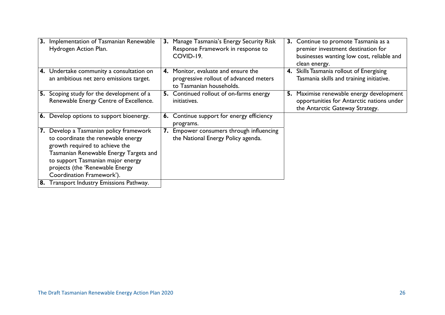| 3. | Implementation of Tasmanian Renewable<br>Hydrogen Action Plan.                                                                                                                                                                                              | 3. | Manage Tasmania's Energy Security Risk<br>Response Framework in response to<br>COVID-19.                  | 3. | Continue to promote Tasmania as a<br>premier investment destination for<br>businesses wanting low cost, reliable and<br>clean energy. |
|----|-------------------------------------------------------------------------------------------------------------------------------------------------------------------------------------------------------------------------------------------------------------|----|-----------------------------------------------------------------------------------------------------------|----|---------------------------------------------------------------------------------------------------------------------------------------|
|    | 4. Undertake community a consultation on<br>an ambitious net zero emissions target.                                                                                                                                                                         |    | 4. Monitor, evaluate and ensure the<br>progressive rollout of advanced meters<br>to Tasmanian households. | 4. | Skills Tasmania rollout of Energising<br>Tasmania skills and training initiative.                                                     |
|    | 5. Scoping study for the development of a<br>Renewable Energy Centre of Excellence.                                                                                                                                                                         | 5. | Continued rollout of on-farms energy<br>initiatives.                                                      | 5. | Maximise renewable energy development<br>opportunities for Antarctic nations under<br>the Antarctic Gateway Strategy.                 |
| 6. | Develop options to support bioenergy.                                                                                                                                                                                                                       |    | 6. Continue support for energy efficiency<br>programs.                                                    |    |                                                                                                                                       |
| 7. | Develop a Tasmanian policy framework<br>to coordinate the renewable energy<br>growth required to achieve the<br>Tasmanian Renewable Energy Targets and<br>to support Tasmanian major energy<br>projects (the 'Renewable Energy<br>Coordination Framework'). | 7. | Empower consumers through influencing<br>the National Energy Policy agenda.                               |    |                                                                                                                                       |
|    | Transport Industry Emissions Pathway.                                                                                                                                                                                                                       |    |                                                                                                           |    |                                                                                                                                       |